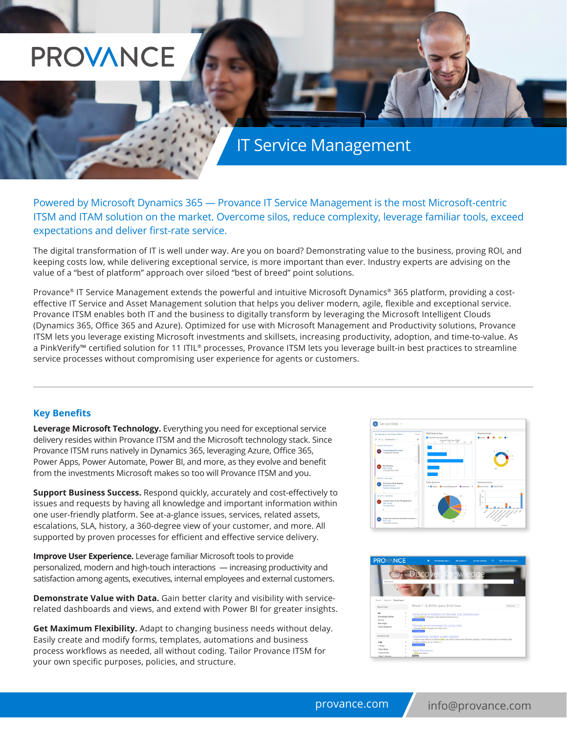# **PROVANCE**

## IT Service Management

Powered by Microsoft Dynamics 365 — Provance IT Service Management is the most Microsoft-centric ITSM and ITAM solution on the market. Overcome silos, reduce complexity, leverage familiar tools, exceed expectations and deliver first-rate service.

The digital transformation of IT is well under way. Are you on board? Demonstrating value to the business, proving ROI, and keeping costs low, while delivering exceptional service, is more important than ever. Industry experts are advising on the value of a "best of platform" approach over siloed "best of breed" point solutions.

Provance® IT Service Management extends the powerful and intuitive Microsoft Dynamics® 365 platform, providing a costeffective IT Service and Asset Management solution that helps you deliver modern, agile, flexible and exceptional service. Provance ITSM enables both IT and the business to digitally transform by leveraging the Microsoft Intelligent Clouds (Dynamics 365, Office 365 and Azure). Optimized for use with Microsoft Management and Productivity solutions, Provance ITSM lets you leverage existing Microsoft investments and skillsets, increasing productivity, adoption, and time-to-value. As a PinkVerify™ certified solution for 11 ITIL® processes, Provance ITSM lets you leverage built-in best practices to streamline service processes without compromising user experience for agents or customers.

#### **Key Benefits**

**Leverage Microsoft Technology.** Everything you need for exceptional service delivery resides within Provance ITSM and the Microsoft technology stack. Since Provance ITSM runs natively in Dynamics 365, leveraging Azure, Office 365, Power Apps, Power Automate, Power BI, and more, as they evolve and benefit from the investments Microsoft makes so too will Provance ITSM and you.

**Support Business Success.** Respond quickly, accurately and cost-effectively to issues and requests by having all knowledge and important information within one user-friendly platform. See at-a-glance issues, services, related assets, escalations, SLA, history, a 360-degree view of your customer, and more. All supported by proven processes for efficient and effective service delivery.

**Improve User Experience.** Leverage familiar Microsoft tools to provide personalized, modern and high-touch interactions — increasing productivity and satisfaction among agents, executives, internal employees and external customers.

**Demonstrate Value with Data.** Gain better clarity and visibility with servicerelated dashboards and views, and extend with Power BI for greater insights.

**Get Maximum Flexibility.** Adapt to changing business needs without delay. Easily create and modify forms, templates, automations and business process workflows as needed, all without coding. Tailor Provance ITSM for your own specific purposes, policies, and structure.